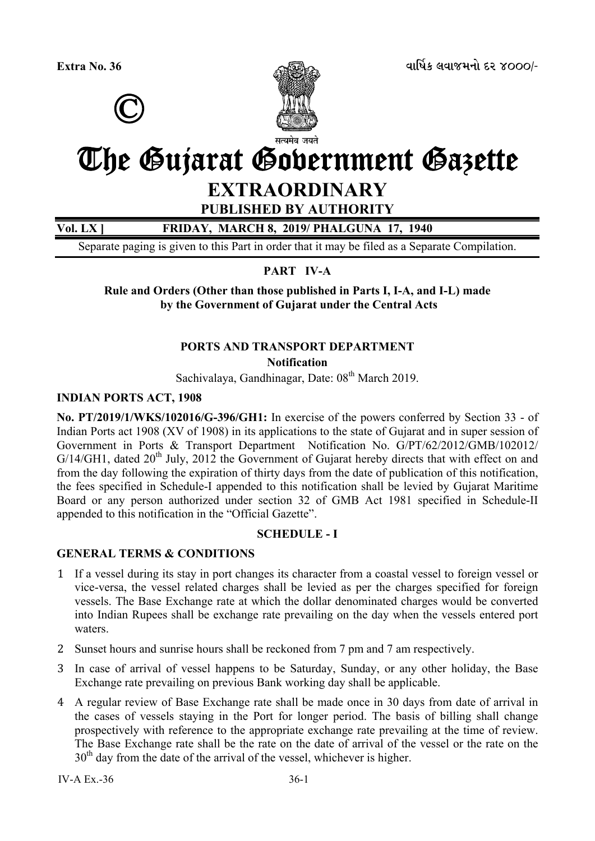



# The Gujarat Government Gazette

## **EXTRAORDINARY**

**PUBLISHED BY AUTHORITY** 

**Vol. LX ] FRIDAY, MARCH 8, 2019/ PHALGUNA 17, 1940** 

Separate paging is given to this Part in order that it may be filed as a Separate Compilation.

**PART IV-A** 

**Rule and Orders (Other than those published in Parts I, I-A, and I-L) made by the Government of Gujarat under the Central Acts** 

# **PORTS AND TRANSPORT DEPARTMENT**

**Notification** 

Sachivalaya, Gandhinagar, Date:  $08<sup>th</sup>$  March 2019.

#### **INDIAN PORTS ACT, 1908**

**No. PT/2019/1/WKS/102016/G-396/GH1:** In exercise of the powers conferred by Section 33 - of Indian Ports act 1908 (XV of 1908) in its applications to the state of Gujarat and in super session of Government in Ports & Transport Department Notification No. G/PT/62/2012/GMB/102012/  $G/14/GH1$ , dated  $20<sup>th</sup>$  July, 2012 the Government of Gujarat hereby directs that with effect on and from the day following the expiration of thirty days from the date of publication of this notification, the fees specified in Schedule-I appended to this notification shall be levied by Gujarat Maritime Board or any person authorized under section 32 of GMB Act 1981 specified in Schedule-II appended to this notification in the "Official Gazette".

#### **SCHEDULE - I**

#### **GENERAL TERMS & CONDITIONS**

- 1 If a vessel during its stay in port changes its character from a coastal vessel to foreign vessel or vice-versa, the vessel related charges shall be levied as per the charges specified for foreign vessels. The Base Exchange rate at which the dollar denominated charges would be converted into Indian Rupees shall be exchange rate prevailing on the day when the vessels entered port waters.
- 2 Sunset hours and sunrise hours shall be reckoned from 7 pm and 7 am respectively.
- 3 In case of arrival of vessel happens to be Saturday, Sunday, or any other holiday, the Base Exchange rate prevailing on previous Bank working day shall be applicable.
- 4 A regular review of Base Exchange rate shall be made once in 30 days from date of arrival in the cases of vessels staying in the Port for longer period. The basis of billing shall change prospectively with reference to the appropriate exchange rate prevailing at the time of review. The Base Exchange rate shall be the rate on the date of arrival of the vessel or the rate on the  $30<sup>th</sup>$  day from the date of the arrival of the vessel, whichever is higher.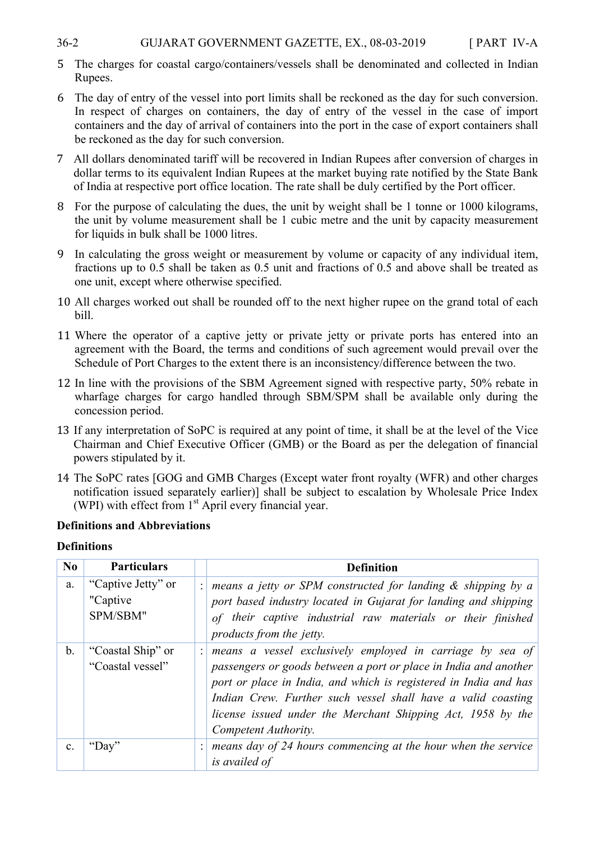#### 36-2 GUJARAT GOVERNMENT GAZETTE, EX., 08-03-2019 [ PART IV-A

- 5 The charges for coastal cargo/containers/vessels shall be denominated and collected in Indian Rupees.
- 6 The day of entry of the vessel into port limits shall be reckoned as the day for such conversion. In respect of charges on containers, the day of entry of the vessel in the case of import containers and the day of arrival of containers into the port in the case of export containers shall be reckoned as the day for such conversion.
- 7 All dollars denominated tariff will be recovered in Indian Rupees after conversion of charges in dollar terms to its equivalent Indian Rupees at the market buying rate notified by the State Bank of India at respective port office location. The rate shall be duly certified by the Port officer.
- 8 For the purpose of calculating the dues, the unit by weight shall be 1 tonne or 1000 kilograms, the unit by volume measurement shall be 1 cubic metre and the unit by capacity measurement for liquids in bulk shall be 1000 litres.
- 9 In calculating the gross weight or measurement by volume or capacity of any individual item, fractions up to 0.5 shall be taken as 0.5 unit and fractions of 0.5 and above shall be treated as one unit, except where otherwise specified.
- 10 All charges worked out shall be rounded off to the next higher rupee on the grand total of each bill.
- 11 Where the operator of a captive jetty or private jetty or private ports has entered into an agreement with the Board, the terms and conditions of such agreement would prevail over the Schedule of Port Charges to the extent there is an inconsistency/difference between the two.
- 12 In line with the provisions of the SBM Agreement signed with respective party, 50% rebate in wharfage charges for cargo handled through SBM/SPM shall be available only during the concession period.
- 13 If any interpretation of SoPC is required at any point of time, it shall be at the level of the Vice Chairman and Chief Executive Officer (GMB) or the Board as per the delegation of financial powers stipulated by it.
- 14 The SoPC rates [GOG and GMB Charges (Except water front royalty (WFR) and other charges notification issued separately earlier)] shall be subject to escalation by Wholesale Price Index (WPI) with effect from  $1<sup>st</sup>$  April every financial year.

#### **Definitions and Abbreviations**

#### **Definitions**

| No              | <b>Particulars</b>                          | <b>Definition</b>                                                                                                                                                                                                                                                                                                                                        |
|-----------------|---------------------------------------------|----------------------------------------------------------------------------------------------------------------------------------------------------------------------------------------------------------------------------------------------------------------------------------------------------------------------------------------------------------|
|                 |                                             |                                                                                                                                                                                                                                                                                                                                                          |
| a.              | "Captive Jetty" or<br>"Captive"<br>SPM/SBM" | means a jetty or SPM constructed for landing $\&$ shipping by a<br>port based industry located in Gujarat for landing and shipping<br>of their captive industrial raw materials or their finished<br>products from the jetty.                                                                                                                            |
| $\mathbf b$ .   | "Coastal Ship" or<br>"Coastal vessel"       | means a vessel exclusively employed in carriage by sea of<br>passengers or goods between a port or place in India and another<br>port or place in India, and which is registered in India and has<br>Indian Crew. Further such vessel shall have a valid coasting<br>license issued under the Merchant Shipping Act, 1958 by the<br>Competent Authority. |
| $\mathcal{C}$ . | 'Day''                                      | means day of 24 hours commencing at the hour when the service<br>is availed of                                                                                                                                                                                                                                                                           |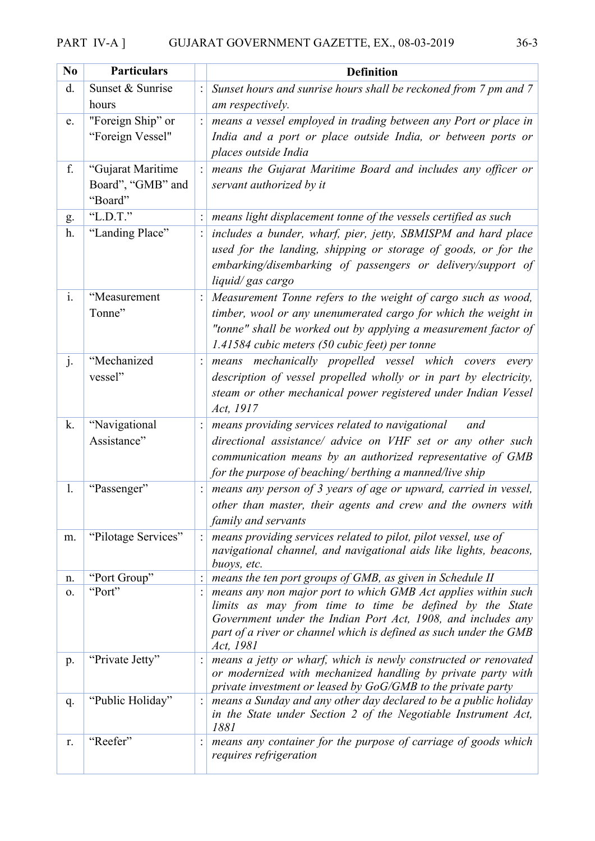## PART IV-A ] GUJARAT GOVERNMENT GAZETTE, EX., 08-03-2019 36-3

| N <sub>0</sub> | <b>Particulars</b>                                | <b>Definition</b>                                                                                                                                                                                                                                                          |
|----------------|---------------------------------------------------|----------------------------------------------------------------------------------------------------------------------------------------------------------------------------------------------------------------------------------------------------------------------------|
| d.             | Sunset & Sunrise<br>hours                         | Sunset hours and sunrise hours shall be reckoned from 7 pm and 7<br>am respectively.                                                                                                                                                                                       |
| e.             | "Foreign Ship" or<br>"Foreign Vessel"             | means a vessel employed in trading between any Port or place in<br>India and a port or place outside India, or between ports or<br>places outside India                                                                                                                    |
| f.             | "Gujarat Maritime<br>Board", "GMB" and<br>"Board" | means the Gujarat Maritime Board and includes any officer or<br>servant authorized by it                                                                                                                                                                                   |
| g.             | "L.D.T."                                          | means light displacement tonne of the vessels certified as such                                                                                                                                                                                                            |
| h.             | "Landing Place"                                   | includes a bunder, wharf, pier, jetty, SBMISPM and hard place<br>used for the landing, shipping or storage of goods, or for the<br>embarking/disembarking of passengers or delivery/support of<br>liquid/gas cargo                                                         |
| $\mathbf{i}$ . | "Measurement<br>Tonne"                            | Measurement Tonne refers to the weight of cargo such as wood,<br>timber, wool or any unenumerated cargo for which the weight in<br>"tonne" shall be worked out by applying a measurement factor of<br>1.41584 cubic meters (50 cubic feet) per tonne                       |
| j.             | "Mechanized<br>vessel"                            | mechanically propelled vessel which covers<br>means<br>every<br>description of vessel propelled wholly or in part by electricity,<br>steam or other mechanical power registered under Indian Vessel<br>Act, 1917                                                           |
| k.             | "Navigational<br>Assistance"                      | means providing services related to navigational<br>and<br>directional assistance/ advice on VHF set or any other such<br>communication means by an authorized representative of GMB<br>for the purpose of beaching/ berthing a manned/live ship                           |
| 1.             | "Passenger"                                       | means any person of 3 years of age or upward, carried in vessel,<br>other than master, their agents and crew and the owners with<br>family and servants                                                                                                                    |
| m.             | "Pilotage Services"                               | means providing services related to pilot, pilot vessel, use of<br>navigational channel, and navigational aids like lights, beacons,<br>buoys, etc.                                                                                                                        |
| n.             | "Port Group"                                      | means the ten port groups of GMB, as given in Schedule II                                                                                                                                                                                                                  |
| 0.             | "Port"                                            | means any non major port to which GMB Act applies within such<br>limits as may from time to time be defined by the State<br>Government under the Indian Port Act, 1908, and includes any<br>part of a river or channel which is defined as such under the GMB<br>Act, 1981 |
| p.             | "Private Jetty"                                   | means a jetty or wharf, which is newly constructed or renovated<br>or modernized with mechanized handling by private party with<br>private investment or leased by GoG/GMB to the private party                                                                            |
| q.             | "Public Holiday"                                  | means a Sunday and any other day declared to be a public holiday<br>in the State under Section 2 of the Negotiable Instrument Act,<br>1881                                                                                                                                 |
| r.             | "Reefer"                                          | means any container for the purpose of carriage of goods which<br>requires refrigeration                                                                                                                                                                                   |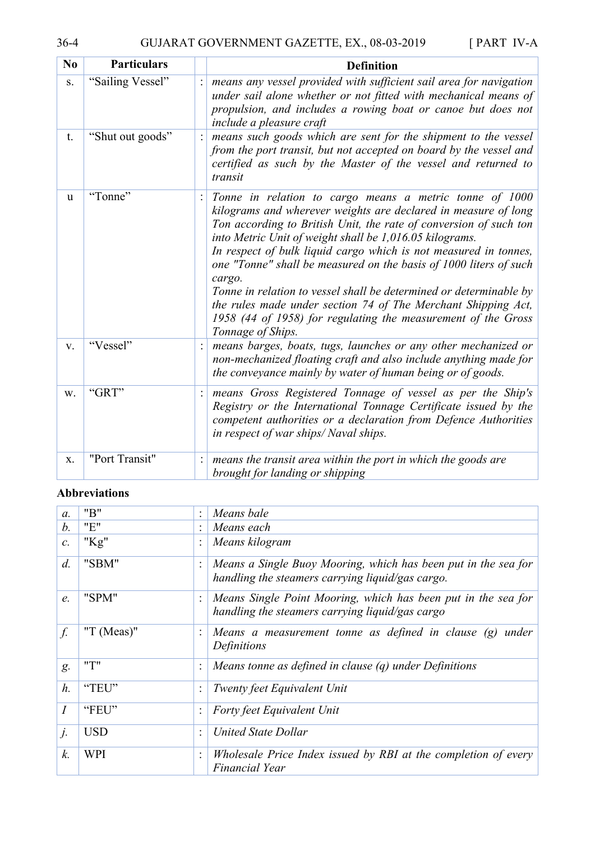| N <sub>0</sub> | <b>Particulars</b> | <b>Definition</b>                                                                                                                                                                                                                                                                                                                                                                                                                                                                                                                                                                                                                         |
|----------------|--------------------|-------------------------------------------------------------------------------------------------------------------------------------------------------------------------------------------------------------------------------------------------------------------------------------------------------------------------------------------------------------------------------------------------------------------------------------------------------------------------------------------------------------------------------------------------------------------------------------------------------------------------------------------|
| S.             | "Sailing Vessel"   | means any vessel provided with sufficient sail area for navigation<br>under sail alone whether or not fitted with mechanical means of<br>propulsion, and includes a rowing boat or canoe but does not<br><i>include a pleasure craft</i>                                                                                                                                                                                                                                                                                                                                                                                                  |
| t.             | "Shut out goods"   | means such goods which are sent for the shipment to the vessel<br>from the port transit, but not accepted on board by the vessel and<br>certified as such by the Master of the vessel and returned to<br>transit                                                                                                                                                                                                                                                                                                                                                                                                                          |
| <sub>u</sub>   | "Tonne"            | Tonne in relation to cargo means a metric tonne of 1000<br>kilograms and wherever weights are declared in measure of long<br>Ton according to British Unit, the rate of conversion of such ton<br>into Metric Unit of weight shall be 1,016.05 kilograms.<br>In respect of bulk liquid cargo which is not measured in tonnes,<br>one "Tonne" shall be measured on the basis of 1000 liters of such<br>cargo.<br>Tonne in relation to vessel shall be determined or determinable by<br>the rules made under section 74 of The Merchant Shipping Act,<br>1958 (44 of 1958) for regulating the measurement of the Gross<br>Tonnage of Ships. |
| V.             | "Vessel"           | means barges, boats, tugs, launches or any other mechanized or<br>non-mechanized floating craft and also include anything made for<br>the conveyance mainly by water of human being or of goods.                                                                                                                                                                                                                                                                                                                                                                                                                                          |
| W.             | "GRT"              | means Gross Registered Tonnage of vessel as per the Ship's<br>Registry or the International Tonnage Certificate issued by the<br>competent authorities or a declaration from Defence Authorities<br>in respect of war ships/Naval ships.                                                                                                                                                                                                                                                                                                                                                                                                  |
| X.             | "Port Transit"     | means the transit area within the port in which the goods are<br>brought for landing or shipping                                                                                                                                                                                                                                                                                                                                                                                                                                                                                                                                          |

#### **Abbreviations**

| $\mathfrak{a}$ . | "B"           |                | Means bale                                                                                                         |
|------------------|---------------|----------------|--------------------------------------------------------------------------------------------------------------------|
| $b$ .            | "E"           |                | Means each                                                                                                         |
| $\mathcal{C}$ .  | " $Kg$ "      |                | Means kilogram                                                                                                     |
| $d$ .            | "SBM"         |                | Means a Single Buoy Mooring, which has been put in the sea for<br>handling the steamers carrying liquid/gas cargo. |
| e.               | "SPM"         |                | Means Single Point Mooring, which has been put in the sea for<br>handling the steamers carrying liquid/gas cargo   |
| f.               | "T $(Meas)$ " |                | Means a measurement tonne as defined in clause $(g)$<br>under<br>Definitions                                       |
| g.               | "T"           | $\ddot{\cdot}$ | Means tonne as defined in clause $(q)$ under Definitions                                                           |
| $h$ .            | "TEU"         |                | Twenty feet Equivalent Unit                                                                                        |
| $\overline{I}$   | "FEU"         |                | Forty feet Equivalent Unit                                                                                         |
| j.               | <b>USD</b>    | $\bullet$      | United State Dollar                                                                                                |
| k.               | WPI           | $\ddot{\cdot}$ | Wholesale Price Index issued by RBI at the completion of every<br>Financial Year                                   |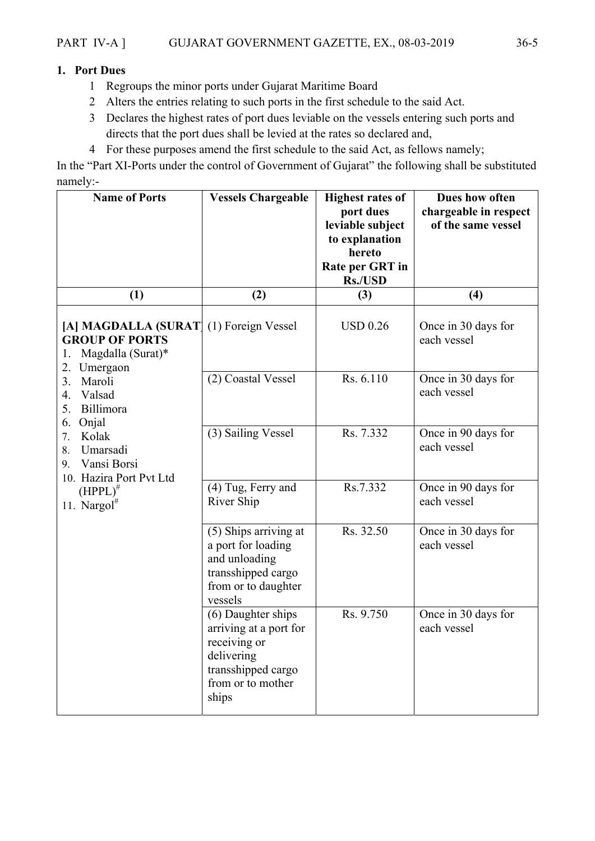#### **1. Port Dues**

- 1 Regroups the minor ports under Gujarat Maritime Board
- 2 Alters the entries relating to such ports in the first schedule to the said Act.
- 3 Declares the highest rates of port dues leviable on the vessels entering such ports and directs that the port dues shall be levied at the rates so declared and,
- 4 For these purposes amend the first schedule to the said Act, as fellows namely;

In the "Part XI-Ports under the control of Government of Gujarat" the following shall be substituted namely:-

| <b>Name of Ports</b>                                                                                          | <b>Vessels Chargeable</b>                                                                                                      | <b>Highest rates of</b><br>port dues<br>leviable subject<br>to explanation<br>hereto<br>Rate per GRT in<br><b>Rs./USD</b> | Dues how often<br>chargeable in respect<br>of the same vessel |
|---------------------------------------------------------------------------------------------------------------|--------------------------------------------------------------------------------------------------------------------------------|---------------------------------------------------------------------------------------------------------------------------|---------------------------------------------------------------|
| (1)                                                                                                           | (2)                                                                                                                            | (3)                                                                                                                       | (4)                                                           |
| [A] MAGDALLA (SURAT] (1) Foreign Vessel<br><b>GROUP OF PORTS</b><br>Magdalla (Surat)*<br>1.<br>Umergaon<br>2. |                                                                                                                                | <b>USD 0.26</b>                                                                                                           | Once in 30 days for<br>each vessel                            |
| Maroli<br>3.<br>Valsad<br>4.<br>Billimora<br>5.<br>Onjal<br>6.                                                | (2) Coastal Vessel                                                                                                             | Rs. 6.110                                                                                                                 | Once in 30 days for<br>each vessel                            |
| Kolak<br>7.<br>Umarsadi<br>8.<br>Vansi Borsi<br>9.<br>10. Hazira Port Pvt Ltd                                 | (3) Sailing Vessel                                                                                                             | Rs. 7.332                                                                                                                 | Once in 90 days for<br>each vessel                            |
| $(HPPL)^{#}$<br>11. Nargol $^{\#}$                                                                            | (4) Tug, Ferry and<br>River Ship                                                                                               | Rs.7.332                                                                                                                  | Once in 90 days for<br>each vessel                            |
|                                                                                                               | (5) Ships arriving at<br>a port for loading<br>and unloading<br>transshipped cargo<br>from or to daughter<br>vessels           | Rs. 32.50                                                                                                                 | Once in 30 days for<br>each vessel                            |
|                                                                                                               | (6) Daughter ships<br>arriving at a port for<br>receiving or<br>delivering<br>transshipped cargo<br>from or to mother<br>ships | Rs. 9.750                                                                                                                 | Once in 30 days for<br>each vessel                            |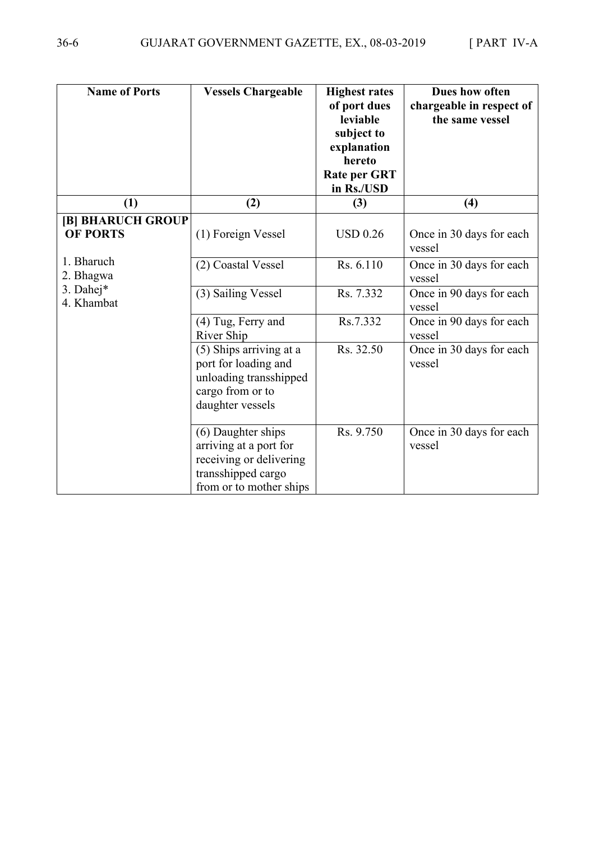| <b>Name of Ports</b>                 | <b>Vessels Chargeable</b>                                                                                                | <b>Highest rates</b><br>of port dues<br>leviable<br>subject to<br>explanation<br>hereto<br><b>Rate per GRT</b><br>in Rs./USD | Dues how often<br>chargeable in respect of<br>the same vessel |
|--------------------------------------|--------------------------------------------------------------------------------------------------------------------------|------------------------------------------------------------------------------------------------------------------------------|---------------------------------------------------------------|
| (1)                                  | (2)                                                                                                                      | (3)                                                                                                                          | (4)                                                           |
| [B] BHARUCH GROUP<br><b>OF PORTS</b> | (1) Foreign Vessel                                                                                                       | <b>USD 0.26</b>                                                                                                              | Once in 30 days for each<br>vessel                            |
| 1. Bharuch<br>2. Bhagwa              | (2) Coastal Vessel                                                                                                       | Rs. 6.110                                                                                                                    | Once in 30 days for each<br>vessel                            |
| 3. Dahej*<br>4. Khambat              | (3) Sailing Vessel                                                                                                       | Rs. 7.332                                                                                                                    | Once in 90 days for each<br>vessel                            |
|                                      | (4) Tug, Ferry and<br>River Ship                                                                                         | Rs.7.332                                                                                                                     | Once in 90 days for each<br>vessel                            |
|                                      | (5) Ships arriving at a<br>port for loading and<br>unloading transshipped<br>cargo from or to<br>daughter vessels        | Rs. 32.50                                                                                                                    | Once in 30 days for each<br>vessel                            |
|                                      | (6) Daughter ships<br>arriving at a port for<br>receiving or delivering<br>transshipped cargo<br>from or to mother ships | Rs. 9.750                                                                                                                    | Once in 30 days for each<br>vessel                            |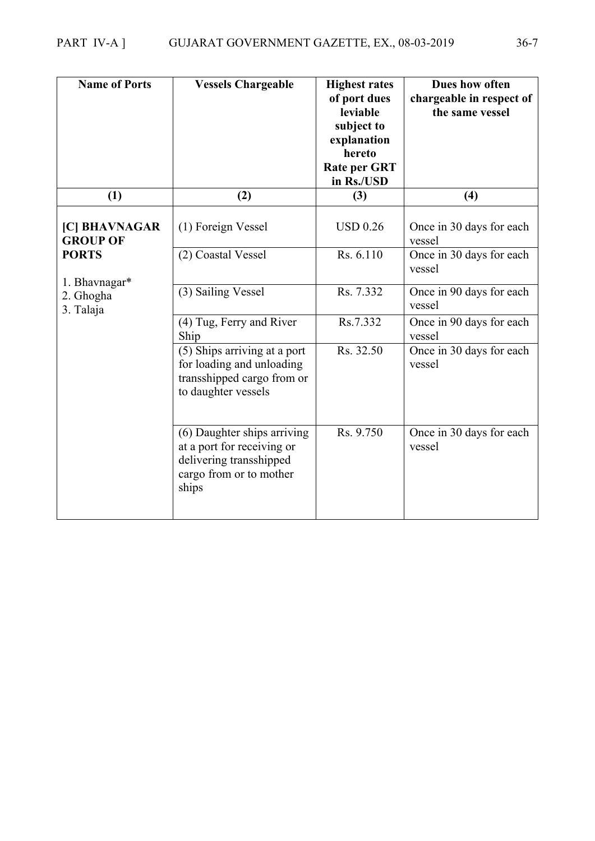| <b>Name of Ports</b>             | <b>Vessels Chargeable</b>                                                                                                | <b>Highest rates</b><br>of port dues<br>leviable<br>subject to<br>explanation<br>hereto<br><b>Rate per GRT</b><br>in Rs./USD | Dues how often<br>chargeable in respect of<br>the same vessel |
|----------------------------------|--------------------------------------------------------------------------------------------------------------------------|------------------------------------------------------------------------------------------------------------------------------|---------------------------------------------------------------|
| (1)                              | (2)                                                                                                                      | (3)                                                                                                                          | (4)                                                           |
| [C] BHAVNAGAR<br><b>GROUP OF</b> | (1) Foreign Vessel                                                                                                       | <b>USD 0.26</b>                                                                                                              | Once in 30 days for each<br>vessel                            |
| <b>PORTS</b><br>1. Bhavnagar*    | (2) Coastal Vessel                                                                                                       | Rs. 6.110                                                                                                                    | Once in 30 days for each<br>vessel                            |
| 2. Ghogha<br>3. Talaja           | (3) Sailing Vessel                                                                                                       | Rs. 7.332                                                                                                                    | Once in 90 days for each<br>vessel                            |
|                                  | (4) Tug, Ferry and River<br>Ship                                                                                         | Rs.7.332                                                                                                                     | Once in 90 days for each<br>vessel                            |
|                                  | (5) Ships arriving at a port<br>for loading and unloading<br>transshipped cargo from or<br>to daughter vessels           | Rs. 32.50                                                                                                                    | Once in 30 days for each<br>vessel                            |
|                                  | (6) Daughter ships arriving<br>at a port for receiving or<br>delivering transshipped<br>cargo from or to mother<br>ships | Rs. 9.750                                                                                                                    | Once in 30 days for each<br>vessel                            |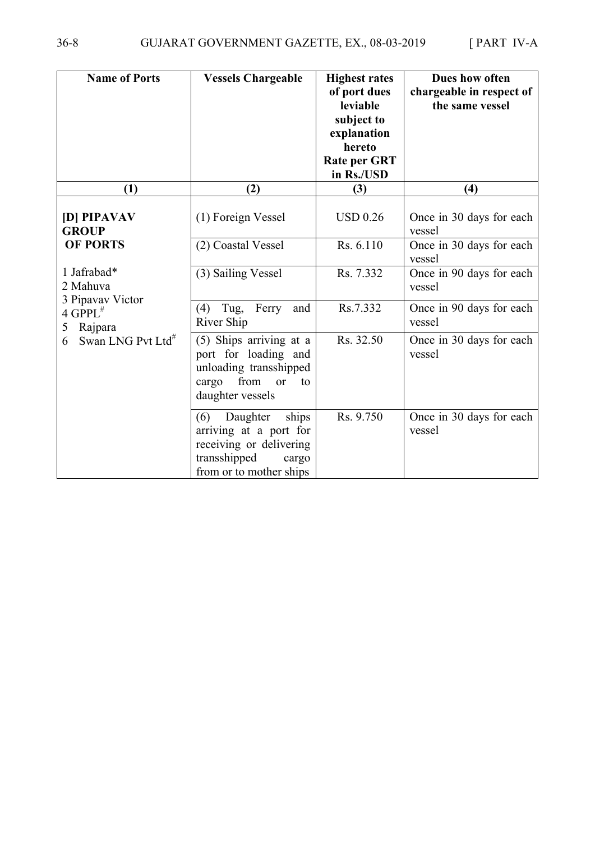| <b>Name of Ports</b>                        | <b>Vessels Chargeable</b>                                                                                                         | <b>Highest rates</b><br>of port dues<br>leviable<br>subject to<br>explanation<br>hereto<br><b>Rate per GRT</b><br>in Rs./USD | Dues how often<br>chargeable in respect of<br>the same vessel |
|---------------------------------------------|-----------------------------------------------------------------------------------------------------------------------------------|------------------------------------------------------------------------------------------------------------------------------|---------------------------------------------------------------|
| (1)                                         | (2)                                                                                                                               | (3)                                                                                                                          | (4)                                                           |
| [D] PIPAVAV<br><b>GROUP</b>                 | (1) Foreign Vessel                                                                                                                | <b>USD 0.26</b>                                                                                                              | Once in 30 days for each<br>vessel                            |
| <b>OF PORTS</b>                             | (2) Coastal Vessel                                                                                                                | Rs. 6.110                                                                                                                    | Once in 30 days for each<br>vessel                            |
| 1 Jafrabad*<br>2 Mahuva<br>3 Pipavav Victor | (3) Sailing Vessel                                                                                                                | Rs. 7.332                                                                                                                    | Once in 90 days for each<br>vessel                            |
| $4$ GPPL <sup>#</sup><br>Rajpara<br>5       | Tug,<br>Ferry<br>(4)<br>and<br>River Ship                                                                                         | Rs.7.332                                                                                                                     | Once in 90 days for each<br>vessel                            |
| Swan LNG Pvt Ltd <sup>#</sup><br>6          | (5) Ships arriving at a<br>port for loading and<br>unloading transshipped<br>from<br>cargo<br><b>or</b><br>to<br>daughter vessels | Rs. 32.50                                                                                                                    | Once in 30 days for each<br>vessel                            |
|                                             | Daughter<br>ships<br>(6)<br>arriving at a port for<br>receiving or delivering<br>transshipped<br>cargo<br>from or to mother ships | Rs. 9.750                                                                                                                    | Once in 30 days for each<br>vessel                            |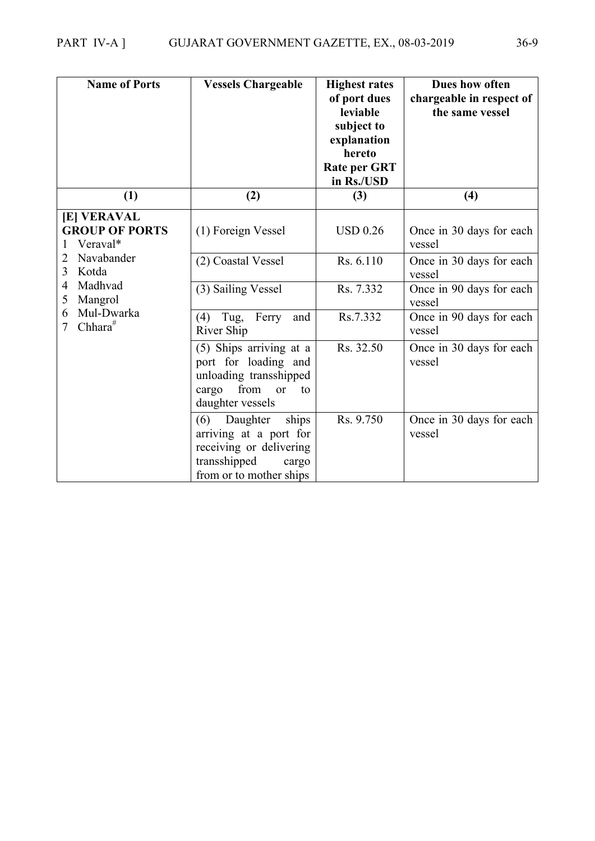| <b>Name of Ports</b>                                    | <b>Vessels Chargeable</b>                                                                                                         | <b>Highest rates</b><br>of port dues<br>leviable<br>subject to<br>explanation<br>hereto<br><b>Rate per GRT</b><br>in Rs./USD | Dues how often<br>chargeable in respect of<br>the same vessel |
|---------------------------------------------------------|-----------------------------------------------------------------------------------------------------------------------------------|------------------------------------------------------------------------------------------------------------------------------|---------------------------------------------------------------|
| (1)                                                     | (2)                                                                                                                               | (3)                                                                                                                          | (4)                                                           |
| <b>[E] VERAVAL</b><br><b>GROUP OF PORTS</b><br>Veraval* | (1) Foreign Vessel                                                                                                                | <b>USD 0.26</b>                                                                                                              | Once in 30 days for each<br>vessel                            |
| Navabander<br>2<br>3<br>Kotda                           | (2) Coastal Vessel                                                                                                                | Rs. 6.110                                                                                                                    | Once in 30 days for each<br>vessel                            |
| Madhvad<br>4<br>Mangrol<br>5                            | (3) Sailing Vessel                                                                                                                | Rs. 7.332                                                                                                                    | Once in 90 days for each<br>vessel                            |
| Mul-Dwarka<br>6<br>Chhara $#$<br>$\overline{7}$         | Tug,<br>Ferry<br>(4)<br>and<br>River Ship                                                                                         | Rs.7.332                                                                                                                     | Once in 90 days for each<br>vessel                            |
|                                                         | (5) Ships arriving at a<br>port for loading and<br>unloading transshipped<br>from<br>cargo<br>or<br>to<br>daughter vessels        | Rs. 32.50                                                                                                                    | Once in 30 days for each<br>vessel                            |
|                                                         | ships<br>Daughter<br>(6)<br>arriving at a port for<br>receiving or delivering<br>transshipped<br>cargo<br>from or to mother ships | Rs. 9.750                                                                                                                    | Once in 30 days for each<br>vessel                            |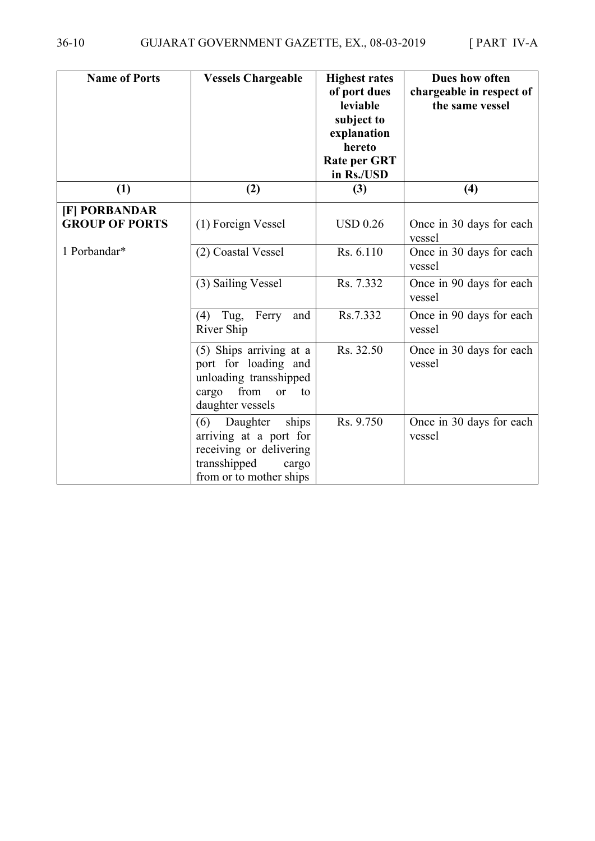| <b>Name of Ports</b>                   | <b>Vessels Chargeable</b>                                                                                                         | <b>Highest rates</b><br>of port dues<br>leviable<br>subject to<br>explanation<br>hereto<br><b>Rate per GRT</b><br>in Rs./USD | Dues how often<br>chargeable in respect of<br>the same vessel |
|----------------------------------------|-----------------------------------------------------------------------------------------------------------------------------------|------------------------------------------------------------------------------------------------------------------------------|---------------------------------------------------------------|
| (1)                                    | (2)                                                                                                                               | (3)                                                                                                                          | (4)                                                           |
| [F] PORBANDAR<br><b>GROUP OF PORTS</b> | (1) Foreign Vessel                                                                                                                | <b>USD 0.26</b>                                                                                                              | Once in 30 days for each<br>vessel                            |
| 1 Porbandar*                           | (2) Coastal Vessel                                                                                                                | Rs. 6.110                                                                                                                    | Once in 30 days for each<br>vessel                            |
|                                        | (3) Sailing Vessel                                                                                                                | Rs. 7.332                                                                                                                    | Once in 90 days for each<br>vessel                            |
|                                        | Tug,<br>Ferry<br>(4)<br>and<br>River Ship                                                                                         | Rs.7.332                                                                                                                     | Once in 90 days for each<br>vessel                            |
|                                        | (5) Ships arriving at a<br>port for loading and<br>unloading transshipped<br>from<br>cargo<br><b>or</b><br>to<br>daughter vessels | Rs. 32.50                                                                                                                    | Once in 30 days for each<br>vessel                            |
|                                        | Daughter<br>(6)<br>ships<br>arriving at a port for<br>receiving or delivering<br>transshipped<br>cargo<br>from or to mother ships | Rs. 9.750                                                                                                                    | Once in 30 days for each<br>vessel                            |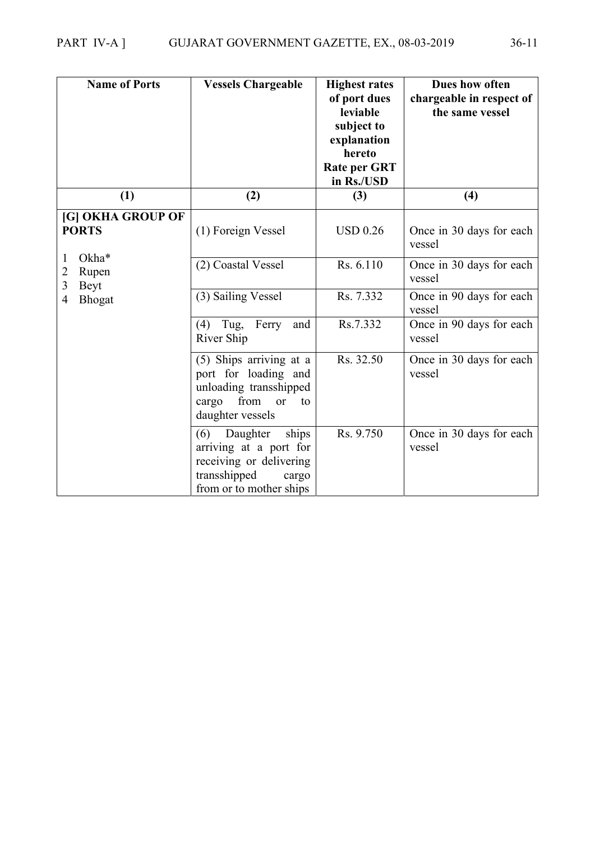| <b>Name of Ports</b>                         | <b>Vessels Chargeable</b>                                                                                                         | <b>Highest rates</b><br>of port dues<br>leviable<br>subject to<br>explanation<br>hereto<br><b>Rate per GRT</b><br>in Rs./USD | Dues how often<br>chargeable in respect of<br>the same vessel |
|----------------------------------------------|-----------------------------------------------------------------------------------------------------------------------------------|------------------------------------------------------------------------------------------------------------------------------|---------------------------------------------------------------|
| (1)                                          | (2)                                                                                                                               | (3)                                                                                                                          | (4)                                                           |
| [G] OKHA GROUP OF<br><b>PORTS</b>            | (1) Foreign Vessel                                                                                                                | <b>USD 0.26</b>                                                                                                              | Once in 30 days for each<br>vessel                            |
| Okha*<br>1<br>Rupen<br>2<br>3<br><b>Beyt</b> | (2) Coastal Vessel                                                                                                                | Rs. 6.110                                                                                                                    | Once in 30 days for each<br>vessel                            |
| <b>Bhogat</b><br>4                           | (3) Sailing Vessel                                                                                                                | Rs. 7.332                                                                                                                    | Once in 90 days for each<br>vessel                            |
|                                              | $(4)$ Tug,<br>Ferry<br>and<br>River Ship                                                                                          | Rs.7.332                                                                                                                     | Once in 90 days for each<br>vessel                            |
|                                              | (5) Ships arriving at a<br>port for loading and<br>unloading transshipped<br>from<br>cargo<br>or<br>to<br>daughter vessels        | Rs. 32.50                                                                                                                    | Once in 30 days for each<br>vessel                            |
|                                              | (6)<br>Daughter<br>ships<br>arriving at a port for<br>receiving or delivering<br>transshipped<br>cargo<br>from or to mother ships | Rs. 9.750                                                                                                                    | Once in 30 days for each<br>vessel                            |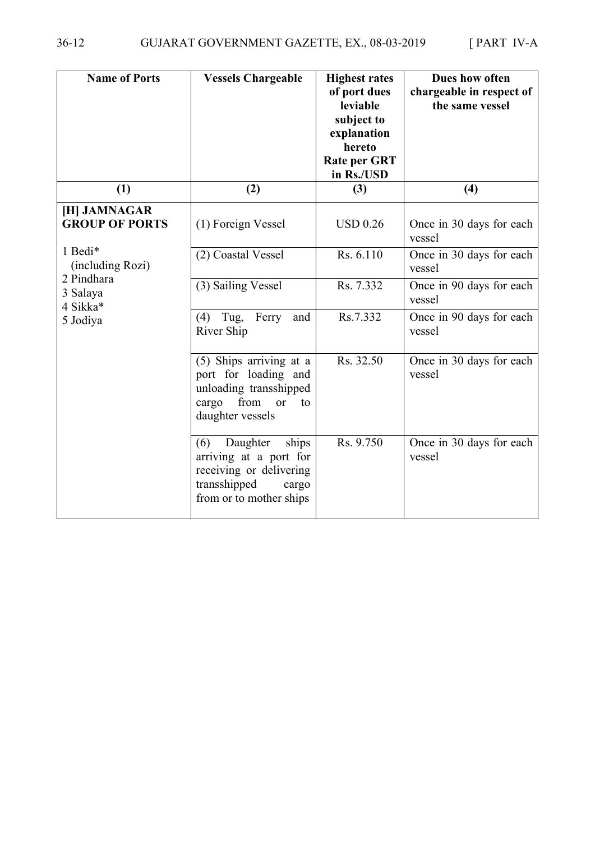| <b>Name of Ports</b>                  | <b>Vessels Chargeable</b>                                                                                                               | <b>Highest rates</b><br>of port dues<br>leviable<br>subject to<br>explanation<br>hereto<br><b>Rate per GRT</b><br>in Rs./USD | Dues how often<br>chargeable in respect of<br>the same vessel |
|---------------------------------------|-----------------------------------------------------------------------------------------------------------------------------------------|------------------------------------------------------------------------------------------------------------------------------|---------------------------------------------------------------|
| (1)                                   | (2)                                                                                                                                     | (3)                                                                                                                          | (4)                                                           |
| [H] JAMNAGAR<br><b>GROUP OF PORTS</b> | (1) Foreign Vessel                                                                                                                      | <b>USD 0.26</b>                                                                                                              | Once in 30 days for each<br>vessel                            |
| 1 Bedi*<br>(including Rozi)           | (2) Coastal Vessel                                                                                                                      | Rs. 6.110                                                                                                                    | Once in 30 days for each<br>vessel                            |
| 2 Pindhara<br>3 Salaya<br>4 Sikka*    | (3) Sailing Vessel                                                                                                                      | Rs. 7.332                                                                                                                    | Once in 90 days for each<br>vessel                            |
| 5 Jodiya                              | Tug,<br>Ferry<br>(4)<br>and<br>River Ship                                                                                               | Rs.7.332                                                                                                                     | Once in 90 days for each<br>vessel                            |
|                                       | (5) Ships arriving at a<br>port for loading and<br>unloading transshipped<br>from<br>cargo<br>$\overline{or}$<br>to<br>daughter vessels | Rs. 32.50                                                                                                                    | Once in 30 days for each<br>vessel                            |
|                                       | Daughter<br>ships<br>(6)<br>arriving at a port for<br>receiving or delivering<br>transshipped<br>cargo<br>from or to mother ships       | Rs. 9.750                                                                                                                    | Once in 30 days for each<br>vessel                            |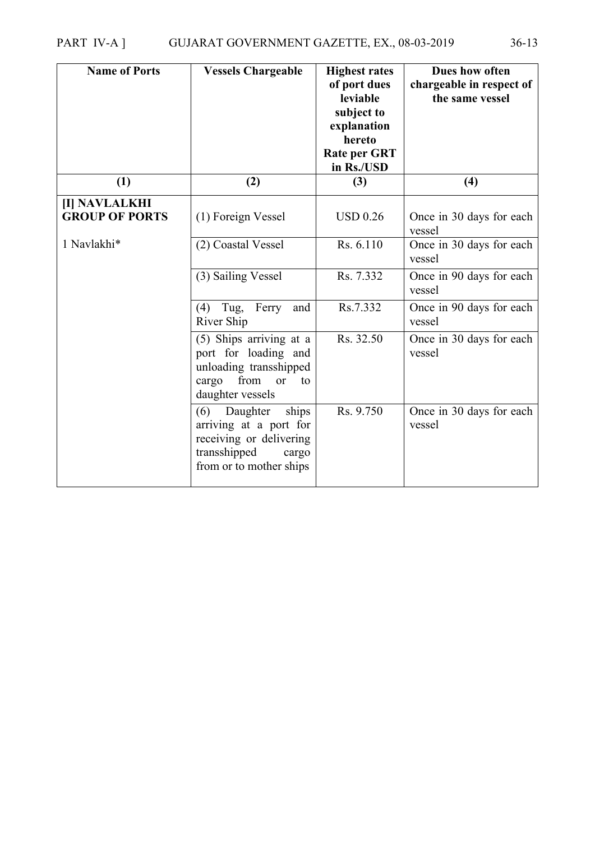| <b>Name of Ports</b>                         | <b>Vessels Chargeable</b>                                                                                                         | <b>Highest rates</b><br>of port dues<br>leviable<br>subject to<br>explanation<br>hereto<br><b>Rate per GRT</b><br>in Rs./USD | Dues how often<br>chargeable in respect of<br>the same vessel |
|----------------------------------------------|-----------------------------------------------------------------------------------------------------------------------------------|------------------------------------------------------------------------------------------------------------------------------|---------------------------------------------------------------|
| (1)                                          | (2)                                                                                                                               | (3)                                                                                                                          | (4)                                                           |
| <b>II NAVLALKHI</b><br><b>GROUP OF PORTS</b> | (1) Foreign Vessel                                                                                                                | <b>USD 0.26</b>                                                                                                              | Once in 30 days for each<br>vessel                            |
| 1 Navlakhi*                                  | (2) Coastal Vessel                                                                                                                | Rs. 6.110                                                                                                                    | Once in 30 days for each<br>vessel                            |
|                                              | (3) Sailing Vessel                                                                                                                | Rs. 7.332                                                                                                                    | Once in 90 days for each<br>vessel                            |
|                                              | (4)<br>Tug,<br>Ferry<br>and<br>River Ship                                                                                         | Rs.7.332                                                                                                                     | Once in 90 days for each<br>vessel                            |
|                                              | (5) Ships arriving at a<br>port for loading and<br>unloading transshipped<br>from<br>cargo<br>to<br>or<br>daughter vessels        | Rs. 32.50                                                                                                                    | Once in 30 days for each<br>vessel                            |
|                                              | ships<br>Daughter<br>(6)<br>arriving at a port for<br>receiving or delivering<br>transshipped<br>cargo<br>from or to mother ships | Rs. 9.750                                                                                                                    | Once in 30 days for each<br>vessel                            |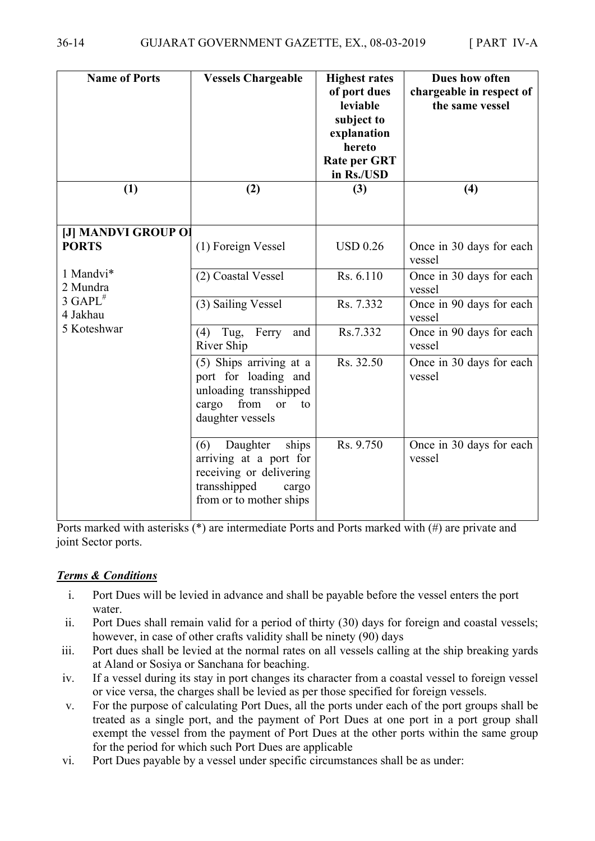| <b>Name of Ports</b>                | <b>Vessels Chargeable</b>                                                                                                         | <b>Highest rates</b><br>of port dues<br>leviable<br>subject to<br>explanation<br>hereto<br><b>Rate per GRT</b><br>in Rs./USD | Dues how often<br>chargeable in respect of<br>the same vessel |
|-------------------------------------|-----------------------------------------------------------------------------------------------------------------------------------|------------------------------------------------------------------------------------------------------------------------------|---------------------------------------------------------------|
| (1)                                 | (2)                                                                                                                               | (3)                                                                                                                          | (4)                                                           |
| [J] MANDVI GROUP OI<br><b>PORTS</b> | (1) Foreign Vessel                                                                                                                | <b>USD 0.26</b>                                                                                                              | Once in 30 days for each<br>vessel                            |
| 1 Mandvi*<br>2 Mundra               | (2) Coastal Vessel                                                                                                                | Rs. 6.110                                                                                                                    | Once in 30 days for each<br>vessel                            |
| $3$ GAPL <sup>#</sup><br>4 Jakhau   | (3) Sailing Vessel                                                                                                                | Rs. 7.332                                                                                                                    | Once in 90 days for each<br>vessel                            |
| 5 Koteshwar                         | $(4)$ Tug,<br>Ferry<br>and<br>River Ship                                                                                          | Rs.7.332                                                                                                                     | Once in 90 days for each<br>vessel                            |
|                                     | (5) Ships arriving at a<br>port for loading and<br>unloading transshipped<br>from<br>cargo<br>or<br>to<br>daughter vessels        | Rs. 32.50                                                                                                                    | Once in 30 days for each<br>vessel                            |
|                                     | (6)<br>Daughter<br>ships<br>arriving at a port for<br>receiving or delivering<br>transshipped<br>cargo<br>from or to mother ships | Rs. 9.750                                                                                                                    | Once in 30 days for each<br>vessel                            |

Ports marked with asterisks (\*) are intermediate Ports and Ports marked with (#) are private and joint Sector ports.

#### *Terms & Conditions*

- i. Port Dues will be levied in advance and shall be payable before the vessel enters the port water
- ii. Port Dues shall remain valid for a period of thirty (30) days for foreign and coastal vessels; however, in case of other crafts validity shall be ninety (90) days
- iii. Port dues shall be levied at the normal rates on all vessels calling at the ship breaking yards at Aland or Sosiya or Sanchana for beaching.
- iv. If a vessel during its stay in port changes its character from a coastal vessel to foreign vessel or vice versa, the charges shall be levied as per those specified for foreign vessels.
- v. For the purpose of calculating Port Dues, all the ports under each of the port groups shall be treated as a single port, and the payment of Port Dues at one port in a port group shall exempt the vessel from the payment of Port Dues at the other ports within the same group for the period for which such Port Dues are applicable
- vi. Port Dues payable by a vessel under specific circumstances shall be as under: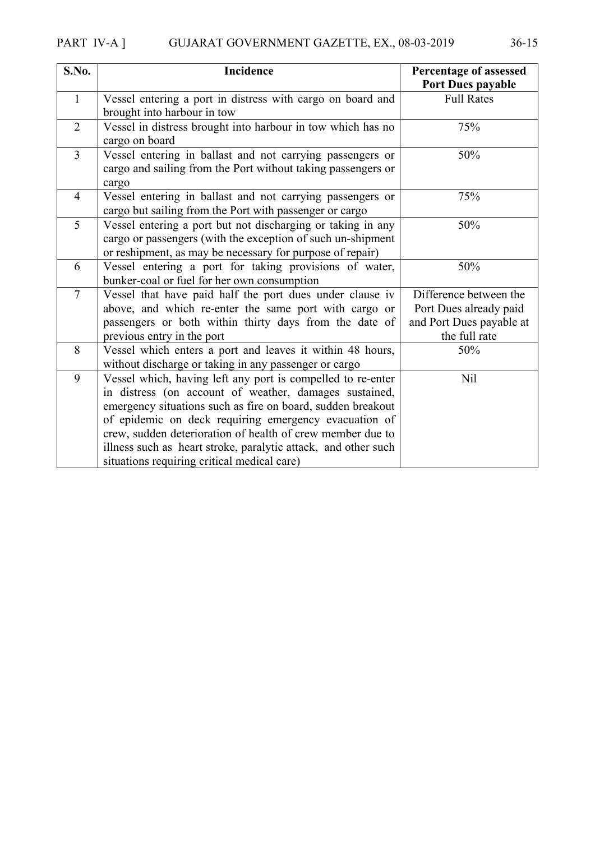| S.No.          | Incidence                                                                                                                                                                               | Percentage of assessed<br>Port Dues payable |
|----------------|-----------------------------------------------------------------------------------------------------------------------------------------------------------------------------------------|---------------------------------------------|
| $\mathbf{1}$   | Vessel entering a port in distress with cargo on board and                                                                                                                              | <b>Full Rates</b>                           |
|                | brought into harbour in tow                                                                                                                                                             |                                             |
| $\overline{2}$ | Vessel in distress brought into harbour in tow which has no<br>cargo on board                                                                                                           | 75%                                         |
| $\overline{3}$ | Vessel entering in ballast and not carrying passengers or<br>cargo and sailing from the Port without taking passengers or<br>cargo                                                      | 50%                                         |
| $\overline{4}$ | Vessel entering in ballast and not carrying passengers or<br>cargo but sailing from the Port with passenger or cargo                                                                    | 75%                                         |
| 5              | Vessel entering a port but not discharging or taking in any<br>cargo or passengers (with the exception of such un-shipment<br>or reshipment, as may be necessary for purpose of repair) | 50%                                         |
| 6              | Vessel entering a port for taking provisions of water,<br>bunker-coal or fuel for her own consumption                                                                                   | 50%                                         |
| $\overline{7}$ | Vessel that have paid half the port dues under clause iv                                                                                                                                | Difference between the                      |
|                | above, and which re-enter the same port with cargo or                                                                                                                                   | Port Dues already paid                      |
|                | passengers or both within thirty days from the date of                                                                                                                                  | and Port Dues payable at                    |
|                | previous entry in the port                                                                                                                                                              | the full rate                               |
| 8              | Vessel which enters a port and leaves it within 48 hours,<br>without discharge or taking in any passenger or cargo                                                                      | 50%                                         |
| 9              | Vessel which, having left any port is compelled to re-enter                                                                                                                             | Nil                                         |
|                | in distress (on account of weather, damages sustained,                                                                                                                                  |                                             |
|                | emergency situations such as fire on board, sudden breakout                                                                                                                             |                                             |
|                | of epidemic on deck requiring emergency evacuation of                                                                                                                                   |                                             |
|                | crew, sudden deterioration of health of crew member due to                                                                                                                              |                                             |
|                | illness such as heart stroke, paralytic attack, and other such                                                                                                                          |                                             |
|                | situations requiring critical medical care)                                                                                                                                             |                                             |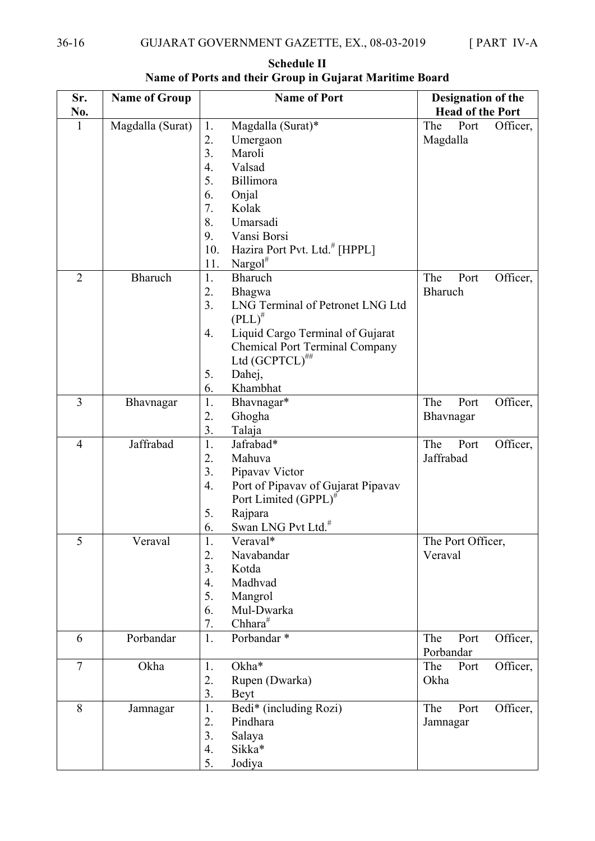| Sr.            | <b>Name of Group</b> | <b>Name of Port</b>                                    | Designation of the      |  |  |  |
|----------------|----------------------|--------------------------------------------------------|-------------------------|--|--|--|
| No.            |                      |                                                        | <b>Head of the Port</b> |  |  |  |
| 1              | Magdalla (Surat)     | Magdalla (Surat)*<br>1.                                | The<br>Port<br>Officer, |  |  |  |
|                |                      | 2.<br>Umergaon                                         | Magdalla                |  |  |  |
|                |                      | 3.<br>Maroli                                           |                         |  |  |  |
|                |                      | Valsad<br>4.                                           |                         |  |  |  |
|                |                      | 5.<br>Billimora                                        |                         |  |  |  |
|                |                      | 6.<br>Onjal                                            |                         |  |  |  |
|                |                      | 7.<br>Kolak                                            |                         |  |  |  |
|                |                      | 8.<br>Umarsadi                                         |                         |  |  |  |
|                |                      | 9.<br>Vansi Borsi                                      |                         |  |  |  |
|                |                      | Hazira Port Pvt. Ltd. <sup>#</sup> [HPPL]<br>10.       |                         |  |  |  |
|                |                      | Nargol $^{\#}$<br>11.                                  |                         |  |  |  |
| $\overline{2}$ | <b>Bharuch</b>       | <b>Bharuch</b><br>1.                                   | The<br>Officer,<br>Port |  |  |  |
|                |                      | 2.<br>Bhagwa                                           | <b>Bharuch</b>          |  |  |  |
|                |                      | 3.<br>LNG Terminal of Petronet LNG Ltd                 |                         |  |  |  |
|                |                      | $(PLL)^{\#}$                                           |                         |  |  |  |
|                |                      | Liquid Cargo Terminal of Gujarat<br>4.                 |                         |  |  |  |
|                |                      | <b>Chemical Port Terminal Company</b>                  |                         |  |  |  |
|                |                      | Ltd $(GCPTCL)^{##}$                                    |                         |  |  |  |
|                |                      | Dahej,<br>5.                                           |                         |  |  |  |
|                |                      | Khambhat<br>6.                                         |                         |  |  |  |
| 3              | Bhavnagar            | 1.<br>Bhavnagar*                                       | The<br>Officer,<br>Port |  |  |  |
|                |                      | 2.<br>Ghogha                                           | Bhavnagar               |  |  |  |
|                |                      | 3.<br>Talaja                                           |                         |  |  |  |
| $\overline{4}$ | Jaffrabad            | Jafrabad*<br>1.                                        | The<br>Officer,<br>Port |  |  |  |
|                |                      | Mahuva<br>2.                                           | Jaffrabad               |  |  |  |
|                |                      | 3.<br>Pipavav Victor                                   |                         |  |  |  |
|                |                      | Port of Pipavav of Gujarat Pipavav<br>$\overline{4}$ . |                         |  |  |  |
|                |                      | Port Limited (GPPL) <sup>#</sup>                       |                         |  |  |  |
|                |                      | Rajpara<br>5.                                          |                         |  |  |  |
|                |                      | Swan LNG Pvt Ltd. <sup>#</sup><br>6.                   |                         |  |  |  |
| 5              | Veraval              | 1.<br>Veraval*                                         | The Port Officer,       |  |  |  |
|                |                      | 2.<br>Navabandar                                       | Veraval                 |  |  |  |
|                |                      | 3.<br>Kotda                                            |                         |  |  |  |
|                |                      | Madhvad<br>4.                                          |                         |  |  |  |
|                |                      | 5.<br>Mangrol                                          |                         |  |  |  |
|                |                      | Mul-Dwarka<br>6.                                       |                         |  |  |  |
|                |                      | Chhara $#$<br>7.                                       |                         |  |  |  |
| 6              | Porbandar            | Porbandar*<br>1.                                       | The<br>Officer,<br>Port |  |  |  |
|                |                      |                                                        | Porbandar               |  |  |  |
| $\overline{7}$ | Okha                 | Okha*<br>1.                                            | The<br>Officer,<br>Port |  |  |  |
|                |                      | 2.<br>Rupen (Dwarka)                                   | Okha                    |  |  |  |
|                |                      | 3.<br>Beyt                                             |                         |  |  |  |
| 8              | Jamnagar             | Bedi* (including Rozi)<br>1.                           | Officer,<br>The<br>Port |  |  |  |
|                |                      | 2.<br>Pindhara                                         | Jamnagar                |  |  |  |
|                |                      | 3.<br>Salaya                                           |                         |  |  |  |
|                |                      | Sikka*<br>4.                                           |                         |  |  |  |
|                |                      | 5.<br>Jodiya                                           |                         |  |  |  |

**Schedule II Name of Ports and their Group in Gujarat Maritime Board**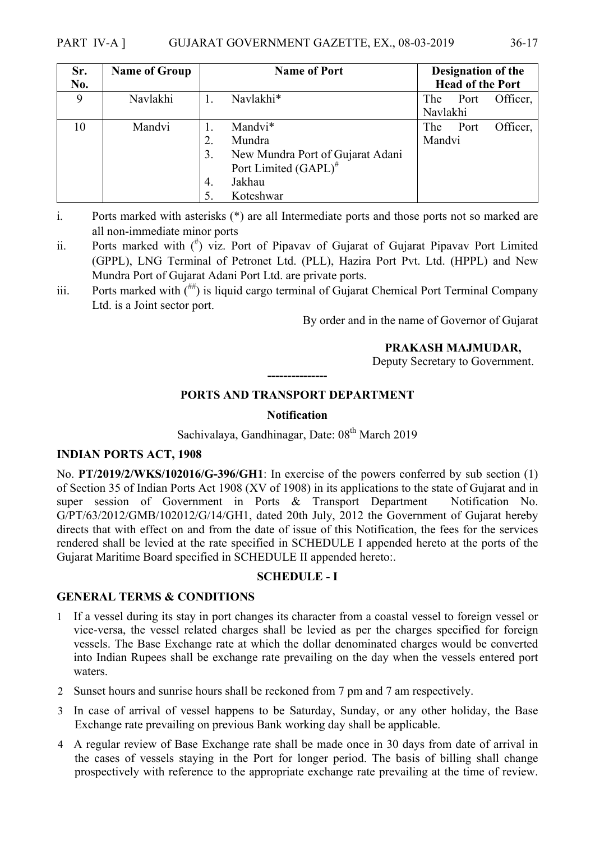#### PART IV-A ] GUJARAT GOVERNMENT GAZETTE, EX., 08-03-2019 36-17

| Sr. | <b>Name of Group</b> | <b>Name of Port</b>     |                                  | Designation of the |      |          |
|-----|----------------------|-------------------------|----------------------------------|--------------------|------|----------|
| No. |                      | <b>Head of the Port</b> |                                  |                    |      |          |
| 9   | Navlakhi             |                         | Navlakhi*                        | The                | Port | Officer. |
|     |                      |                         |                                  | Navlakhi           |      |          |
| 10  | Mandvi               |                         | Mandvi*                          | The                | Port | Officer, |
|     |                      | 2.                      | Mundra                           | Mandvi             |      |          |
|     |                      | 3.                      | New Mundra Port of Gujarat Adani |                    |      |          |
|     |                      |                         | Port Limited (GAPL) <sup>#</sup> |                    |      |          |
|     |                      | 4.                      | Jakhau                           |                    |      |          |
|     |                      |                         | Koteshwar                        |                    |      |          |

i. Ports marked with asterisks (\*) are all Intermediate ports and those ports not so marked are all non-immediate minor ports

- ii. Ports marked with  $\binom{n}{k}$  viz. Port of Pipavav of Gujarat of Gujarat Pipavav Port Limited (GPPL), LNG Terminal of Petronet Ltd. (PLL), Hazira Port Pvt. Ltd. (HPPL) and New Mundra Port of Gujarat Adani Port Ltd. are private ports.
- iii. Ports marked with  $($ <sup> $#$ </sup>) is liquid cargo terminal of Gujarat Chemical Port Terminal Company Ltd. is a Joint sector port.

By order and in the name of Governor of Gujarat

#### **PRAKASH MAJMUDAR,**

Deputy Secretary to Government.

## **--------------- PORTS AND TRANSPORT DEPARTMENT**

#### **Notification**

Sachivalaya, Gandhinagar, Date: 08<sup>th</sup> March 2019

#### **INDIAN PORTS ACT, 1908**

No. **PT/2019/2/WKS/102016/G-396/GH1**: In exercise of the powers conferred by sub section (1) of Section 35 of Indian Ports Act 1908 (XV of 1908) in its applications to the state of Gujarat and in super session of Government in Ports & Transport Department Notification No. G/PT/63/2012/GMB/102012/G/14/GH1, dated 20th July, 2012 the Government of Gujarat hereby directs that with effect on and from the date of issue of this Notification, the fees for the services rendered shall be levied at the rate specified in SCHEDULE I appended hereto at the ports of the Gujarat Maritime Board specified in SCHEDULE II appended hereto:.

#### **SCHEDULE - I**

#### **GENERAL TERMS & CONDITIONS**

- 1 If a vessel during its stay in port changes its character from a coastal vessel to foreign vessel or vice-versa, the vessel related charges shall be levied as per the charges specified for foreign vessels. The Base Exchange rate at which the dollar denominated charges would be converted into Indian Rupees shall be exchange rate prevailing on the day when the vessels entered port waters.
- 2 Sunset hours and sunrise hours shall be reckoned from 7 pm and 7 am respectively.
- 3 In case of arrival of vessel happens to be Saturday, Sunday, or any other holiday, the Base Exchange rate prevailing on previous Bank working day shall be applicable.
- 4 A regular review of Base Exchange rate shall be made once in 30 days from date of arrival in the cases of vessels staying in the Port for longer period. The basis of billing shall change prospectively with reference to the appropriate exchange rate prevailing at the time of review.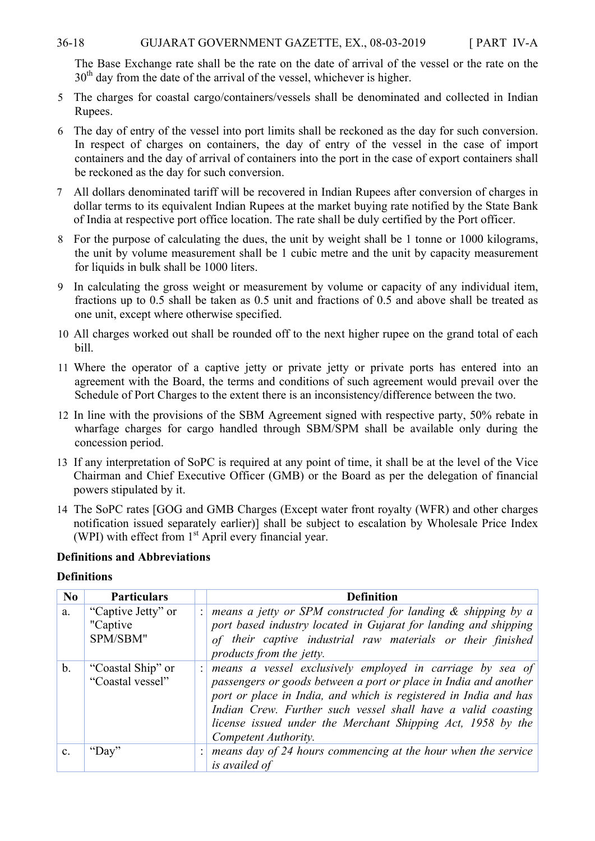#### 36-18 GUJARAT GOVERNMENT GAZETTE, EX., 08-03-2019 [ PART IV-A

The Base Exchange rate shall be the rate on the date of arrival of the vessel or the rate on the 30<sup>th</sup> day from the date of the arrival of the vessel, whichever is higher.

- 5 The charges for coastal cargo/containers/vessels shall be denominated and collected in Indian Rupees.
- 6 The day of entry of the vessel into port limits shall be reckoned as the day for such conversion. In respect of charges on containers, the day of entry of the vessel in the case of import containers and the day of arrival of containers into the port in the case of export containers shall be reckoned as the day for such conversion.
- 7 All dollars denominated tariff will be recovered in Indian Rupees after conversion of charges in dollar terms to its equivalent Indian Rupees at the market buying rate notified by the State Bank of India at respective port office location. The rate shall be duly certified by the Port officer.
- 8 For the purpose of calculating the dues, the unit by weight shall be 1 tonne or 1000 kilograms, the unit by volume measurement shall be 1 cubic metre and the unit by capacity measurement for liquids in bulk shall be 1000 liters.
- 9 In calculating the gross weight or measurement by volume or capacity of any individual item, fractions up to 0.5 shall be taken as 0.5 unit and fractions of 0.5 and above shall be treated as one unit, except where otherwise specified.
- 10 All charges worked out shall be rounded off to the next higher rupee on the grand total of each bill.
- 11 Where the operator of a captive jetty or private jetty or private ports has entered into an agreement with the Board, the terms and conditions of such agreement would prevail over the Schedule of Port Charges to the extent there is an inconsistency/difference between the two.
- 12 In line with the provisions of the SBM Agreement signed with respective party, 50% rebate in wharfage charges for cargo handled through SBM/SPM shall be available only during the concession period.
- 13 If any interpretation of SoPC is required at any point of time, it shall be at the level of the Vice Chairman and Chief Executive Officer (GMB) or the Board as per the delegation of financial powers stipulated by it.
- 14 The SoPC rates [GOG and GMB Charges (Except water front royalty (WFR) and other charges notification issued separately earlier)] shall be subject to escalation by Wholesale Price Index (WPI) with effect from  $1<sup>st</sup>$  April every financial year.

#### **Definitions and Abbreviations**

#### **Definitions**

| N <sub>0</sub> | <b>Particulars</b>                         |                | <b>Definition</b>                                                                                                                                                                                                                                                                                                                                        |
|----------------|--------------------------------------------|----------------|----------------------------------------------------------------------------------------------------------------------------------------------------------------------------------------------------------------------------------------------------------------------------------------------------------------------------------------------------------|
| a.             | "Captive Jetty" or<br>"Captive<br>SPM/SBM" |                | means a jetty or SPM constructed for landing $\&$ shipping by a<br>port based industry located in Gujarat for landing and shipping<br>of their captive industrial raw materials or their finished<br>products from the jetty.                                                                                                                            |
| b.             | "Coastal Ship" or<br>"Coastal vessel"      | $\ddot{\cdot}$ | means a vessel exclusively employed in carriage by sea of<br>passengers or goods between a port or place in India and another<br>port or place in India, and which is registered in India and has<br>Indian Crew. Further such vessel shall have a valid coasting<br>license issued under the Merchant Shipping Act, 1958 by the<br>Competent Authority. |
| $\mathbf{c}$ . | "Day"                                      |                | means day of 24 hours commencing at the hour when the service<br>is availed of                                                                                                                                                                                                                                                                           |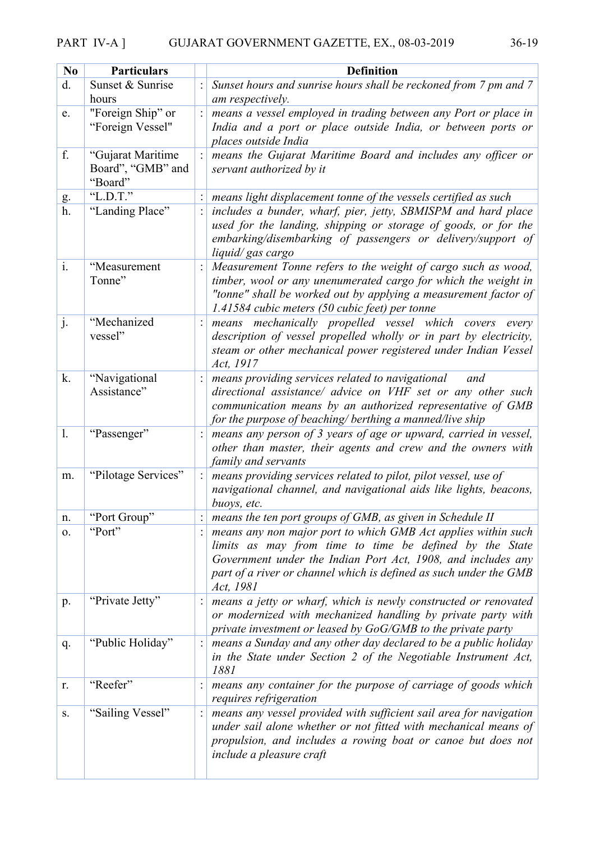## PART IV-A ] GUJARAT GOVERNMENT GAZETTE, EX., 08-03-2019 36-19

| N <sub>0</sub> | <b>Particulars</b>                                | <b>Definition</b>                                                                                                                                                                                                                                                          |
|----------------|---------------------------------------------------|----------------------------------------------------------------------------------------------------------------------------------------------------------------------------------------------------------------------------------------------------------------------------|
| d.             | Sunset & Sunrise                                  | Sunset hours and sunrise hours shall be reckoned from 7 pm and 7                                                                                                                                                                                                           |
|                | hours                                             | am respectively.                                                                                                                                                                                                                                                           |
| e.             | "Foreign Ship" or<br>"Foreign Vessel"             | means a vessel employed in trading between any Port or place in<br>India and a port or place outside India, or between ports or<br>places outside India                                                                                                                    |
| f.             | "Gujarat Maritime<br>Board", "GMB" and<br>"Board" | means the Gujarat Maritime Board and includes any officer or<br>servant authorized by it                                                                                                                                                                                   |
| g.             | "L.D.T."                                          | means light displacement tonne of the vessels certified as such                                                                                                                                                                                                            |
| h.             | "Landing Place"                                   | includes a bunder, wharf, pier, jetty, SBMISPM and hard place<br>used for the landing, shipping or storage of goods, or for the<br>embarking/disembarking of passengers or delivery/support of<br>liquid/gas cargo                                                         |
| $\mathbf{i}$ . | "Measurement                                      | Measurement Tonne refers to the weight of cargo such as wood,                                                                                                                                                                                                              |
|                | Tonne"                                            | timber, wool or any unenumerated cargo for which the weight in<br>"tonne" shall be worked out by applying a measurement factor of<br>1.41584 cubic meters (50 cubic feet) per tonne                                                                                        |
| j.             | "Mechanized<br>vessel"                            | mechanically propelled vessel which covers<br>means<br>every<br>description of vessel propelled wholly or in part by electricity,<br>steam or other mechanical power registered under Indian Vessel<br>Act, 1917                                                           |
| k.             | "Navigational<br>Assistance"                      | means providing services related to navigational<br>and<br>directional assistance/ advice on VHF set or any other such<br>communication means by an authorized representative of GMB<br>for the purpose of beaching/ berthing a manned/live ship                           |
| $\mathbf{1}$ . | "Passenger"                                       | means any person of 3 years of age or upward, carried in vessel,<br>other than master, their agents and crew and the owners with<br>family and servants                                                                                                                    |
| m.             | "Pilotage Services"                               | means providing services related to pilot, pilot vessel, use of<br>navigational channel, and navigational aids like lights, beacons,<br>buoys, etc.                                                                                                                        |
| n.             | "Port Group"                                      | means the ten port groups of GMB, as given in Schedule II                                                                                                                                                                                                                  |
| 0.             | "Port"                                            | means any non major port to which GMB Act applies within such<br>limits as may from time to time be defined by the State<br>Government under the Indian Port Act, 1908, and includes any<br>part of a river or channel which is defined as such under the GMB<br>Act, 1981 |
| p.             | "Private Jetty"                                   | means a jetty or wharf, which is newly constructed or renovated<br>or modernized with mechanized handling by private party with<br>private investment or leased by $GoG/GMB$ to the private party                                                                          |
| q.             | "Public Holiday"                                  | means a Sunday and any other day declared to be a public holiday<br>in the State under Section 2 of the Negotiable Instrument Act,<br>1881                                                                                                                                 |
| r.             | "Reefer"                                          | means any container for the purpose of carriage of goods which<br>requires refrigeration                                                                                                                                                                                   |
| S.             | "Sailing Vessel"                                  | means any vessel provided with sufficient sail area for navigation<br>under sail alone whether or not fitted with mechanical means of<br>propulsion, and includes a rowing boat or canoe but does not<br><i>include a pleasure craft</i>                                   |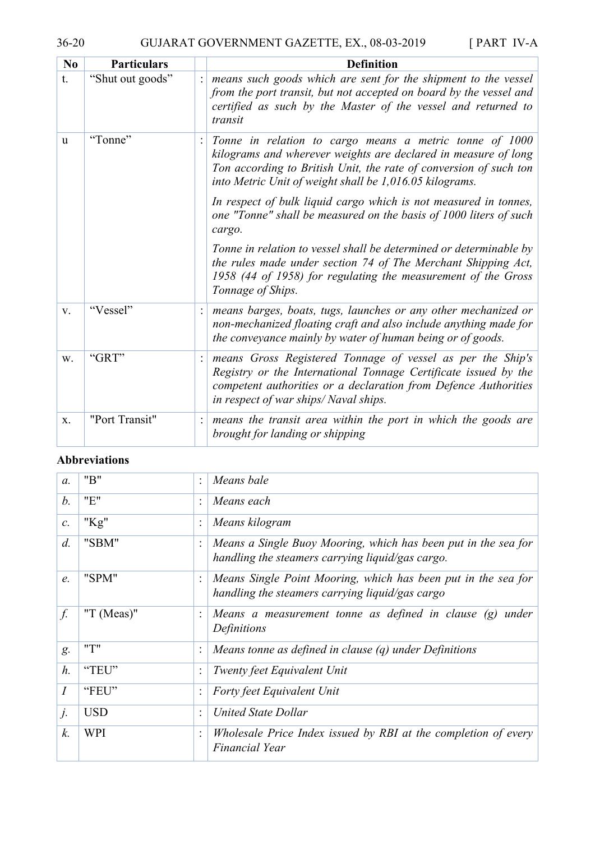36-20 GUJARAT GOVERNMENT GAZETTE, EX., 08-03-2019 [ PART IV-A

| N <sub>0</sub> | <b>Particulars</b> | <b>Definition</b>                                                                                                                                                                                                                                         |
|----------------|--------------------|-----------------------------------------------------------------------------------------------------------------------------------------------------------------------------------------------------------------------------------------------------------|
| t.             | "Shut out goods"   | means such goods which are sent for the shipment to the vessel<br>from the port transit, but not accepted on board by the vessel and<br>certified as such by the Master of the vessel and returned to<br>transit                                          |
| <sub>u</sub>   | "Tonne"            | Tonne in relation to cargo means a metric tonne of 1000<br>kilograms and wherever weights are declared in measure of long<br>Ton according to British Unit, the rate of conversion of such ton<br>into Metric Unit of weight shall be 1,016.05 kilograms. |
|                |                    | In respect of bulk liquid cargo which is not measured in tonnes,<br>one "Tonne" shall be measured on the basis of 1000 liters of such<br>cargo.                                                                                                           |
|                |                    | Tonne in relation to vessel shall be determined or determinable by<br>the rules made under section 74 of The Merchant Shipping Act,<br>1958 (44 of 1958) for regulating the measurement of the Gross<br>Tonnage of Ships.                                 |
| V.             | "Vessel"           | means barges, boats, tugs, launches or any other mechanized or<br>non-mechanized floating craft and also include anything made for<br>the conveyance mainly by water of human being or of goods.                                                          |
| W.             | "GRT"              | means Gross Registered Tonnage of vessel as per the Ship's<br>Registry or the International Tonnage Certificate issued by the<br>competent authorities or a declaration from Defence Authorities<br>in respect of war ships/Naval ships.                  |
| X.             | "Port Transit"     | means the transit area within the port in which the goods are<br>brought for landing or shipping                                                                                                                                                          |

### **Abbreviations**

| $\mathfrak{a}$ . | "B"           | $\ddot{\cdot}$ | Means bale                                                                                                         |
|------------------|---------------|----------------|--------------------------------------------------------------------------------------------------------------------|
| b.               | "E"           | $\cdot$        | Means each                                                                                                         |
| $\mathcal{C}.$   | " $Kg$ "      |                | Means kilogram                                                                                                     |
| $d$ .            | "SBM"         |                | Means a Single Buoy Mooring, which has been put in the sea for<br>handling the steamers carrying liquid/gas cargo. |
| e.               | "SPM"         |                | Means Single Point Mooring, which has been put in the sea for<br>handling the steamers carrying liquid/gas cargo   |
| $\int$           | "T $(Meas)$ " |                | Means a measurement tonne as defined in clause $(g)$<br>under<br>Definitions                                       |
| g.               | "T"           | $\ddot{\cdot}$ | Means tonne as defined in clause $(q)$ under Definitions                                                           |
| $h$ .            | "TEU"         |                | Twenty feet Equivalent Unit                                                                                        |
| I                | "FEU"         |                | Forty feet Equivalent Unit                                                                                         |
| j.               | <b>USD</b>    | $\bullet$      | United State Dollar                                                                                                |
| k.               | <b>WPI</b>    |                | Wholesale Price Index issued by RBI at the completion of every<br>Financial Year                                   |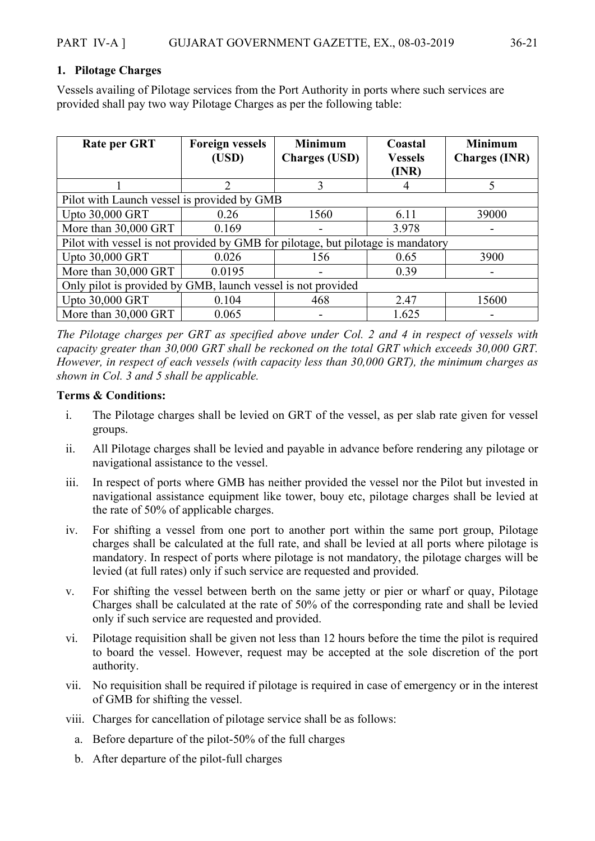#### **1. Pilotage Charges**

Vessels availing of Pilotage services from the Port Authority in ports where such services are provided shall pay two way Pilotage Charges as per the following table:

| <b>Rate per GRT</b>                                                              | <b>Foreign vessels</b> | <b>Minimum</b>       | Coastal        | <b>Minimum</b>       |  |  |  |
|----------------------------------------------------------------------------------|------------------------|----------------------|----------------|----------------------|--|--|--|
|                                                                                  | (USD)                  | <b>Charges (USD)</b> | <b>Vessels</b> | <b>Charges (INR)</b> |  |  |  |
|                                                                                  |                        |                      | (INR)          |                      |  |  |  |
|                                                                                  | $\mathfrak{D}$         | 3                    | 4              |                      |  |  |  |
| Pilot with Launch vessel is provided by GMB                                      |                        |                      |                |                      |  |  |  |
| Upto 30,000 GRT                                                                  | 0.26                   | 1560                 | 6.11           | 39000                |  |  |  |
| More than 30,000 GRT                                                             | 0.169                  |                      | 3.978          |                      |  |  |  |
| Pilot with vessel is not provided by GMB for pilotage, but pilotage is mandatory |                        |                      |                |                      |  |  |  |
| Upto 30,000 GRT                                                                  | 0.026                  | 156                  | 0.65           | 3900                 |  |  |  |
| More than 30,000 GRT                                                             | 0.0195                 |                      | 0.39           |                      |  |  |  |
| Only pilot is provided by GMB, launch vessel is not provided                     |                        |                      |                |                      |  |  |  |
| Upto 30,000 GRT                                                                  | 0.104                  | 468                  | 2.47           | 15600                |  |  |  |
| More than 30,000 GRT                                                             | 0.065                  |                      | 1.625          |                      |  |  |  |

*The Pilotage charges per GRT as specified above under Col. 2 and 4 in respect of vessels with capacity greater than 30,000 GRT shall be reckoned on the total GRT which exceeds 30,000 GRT. However, in respect of each vessels (with capacity less than 30,000 GRT), the minimum charges as shown in Col. 3 and 5 shall be applicable.* 

#### **Terms & Conditions:**

- i. The Pilotage charges shall be levied on GRT of the vessel, as per slab rate given for vessel groups.
- ii. All Pilotage charges shall be levied and payable in advance before rendering any pilotage or navigational assistance to the vessel.
- iii. In respect of ports where GMB has neither provided the vessel nor the Pilot but invested in navigational assistance equipment like tower, bouy etc, pilotage charges shall be levied at the rate of 50% of applicable charges.
- iv. For shifting a vessel from one port to another port within the same port group, Pilotage charges shall be calculated at the full rate, and shall be levied at all ports where pilotage is mandatory. In respect of ports where pilotage is not mandatory, the pilotage charges will be levied (at full rates) only if such service are requested and provided.
- v. For shifting the vessel between berth on the same jetty or pier or wharf or quay, Pilotage Charges shall be calculated at the rate of 50% of the corresponding rate and shall be levied only if such service are requested and provided.
- vi. Pilotage requisition shall be given not less than 12 hours before the time the pilot is required to board the vessel. However, request may be accepted at the sole discretion of the port authority.
- vii. No requisition shall be required if pilotage is required in case of emergency or in the interest of GMB for shifting the vessel.
- viii. Charges for cancellation of pilotage service shall be as follows:
	- a. Before departure of the pilot-50% of the full charges
	- b. After departure of the pilot-full charges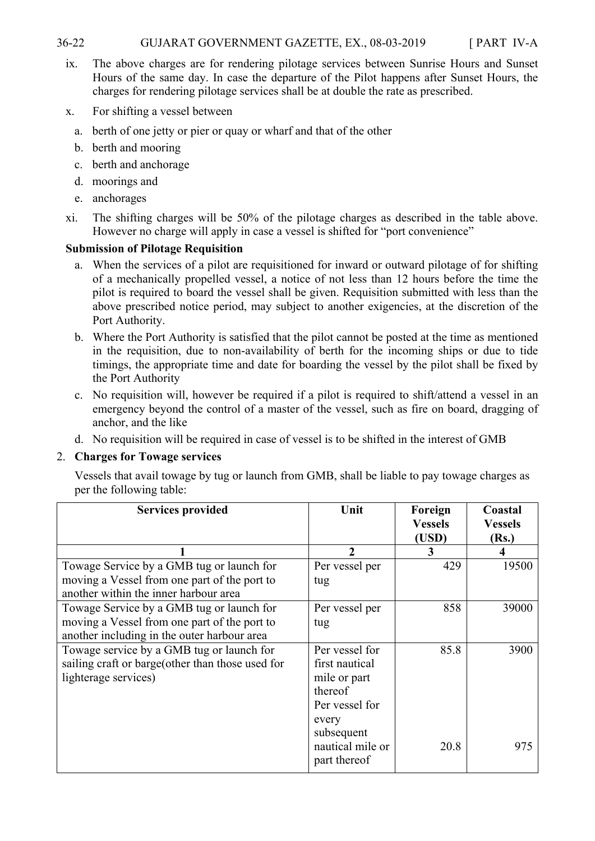#### 36-22 GUJARAT GOVERNMENT GAZETTE, EX., 08-03-2019 [ PART IV-A

- ix. The above charges are for rendering pilotage services between Sunrise Hours and Sunset Hours of the same day. In case the departure of the Pilot happens after Sunset Hours, the charges for rendering pilotage services shall be at double the rate as prescribed.
- x. For shifting a vessel between
	- a. berth of one jetty or pier or quay or wharf and that of the other
	- b. berth and mooring
	- c. berth and anchorage
	- d. moorings and
	- e. anchorages
- xi. The shifting charges will be 50% of the pilotage charges as described in the table above. However no charge will apply in case a vessel is shifted for "port convenience"

#### **Submission of Pilotage Requisition**

- a. When the services of a pilot are requisitioned for inward or outward pilotage of for shifting of a mechanically propelled vessel, a notice of not less than 12 hours before the time the pilot is required to board the vessel shall be given. Requisition submitted with less than the above prescribed notice period, may subject to another exigencies, at the discretion of the Port Authority.
- b. Where the Port Authority is satisfied that the pilot cannot be posted at the time as mentioned in the requisition, due to non-availability of berth for the incoming ships or due to tide timings, the appropriate time and date for boarding the vessel by the pilot shall be fixed by the Port Authority
- c. No requisition will, however be required if a pilot is required to shift/attend a vessel in an emergency beyond the control of a master of the vessel, such as fire on board, dragging of anchor, and the like
- d. No requisition will be required in case of vessel is to be shifted in the interest of GMB

#### 2. **Charges for Towage services**

Vessels that avail towage by tug or launch from GMB, shall be liable to pay towage charges as per the following table:

| <b>Services provided</b>                         | Unit             | Foreign<br><b>Vessels</b><br>(USD) | Coastal<br><b>Vessels</b><br>(Rs.) |
|--------------------------------------------------|------------------|------------------------------------|------------------------------------|
|                                                  | $\overline{2}$   | 3                                  | 4                                  |
| Towage Service by a GMB tug or launch for        | Per vessel per   | 429                                | 19500                              |
| moving a Vessel from one part of the port to     | tug              |                                    |                                    |
| another within the inner harbour area            |                  |                                    |                                    |
| Towage Service by a GMB tug or launch for        | Per vessel per   | 858                                | 39000                              |
| moving a Vessel from one part of the port to     | tug              |                                    |                                    |
| another including in the outer harbour area      |                  |                                    |                                    |
| Towage service by a GMB tug or launch for        | Per vessel for   | 85.8                               | 3900                               |
| sailing craft or barge(other than those used for | first nautical   |                                    |                                    |
| lighterage services)                             | mile or part     |                                    |                                    |
|                                                  | thereof          |                                    |                                    |
|                                                  | Per vessel for   |                                    |                                    |
|                                                  | every            |                                    |                                    |
|                                                  | subsequent       |                                    |                                    |
|                                                  | nautical mile or | 20.8                               | 975                                |
|                                                  | part thereof     |                                    |                                    |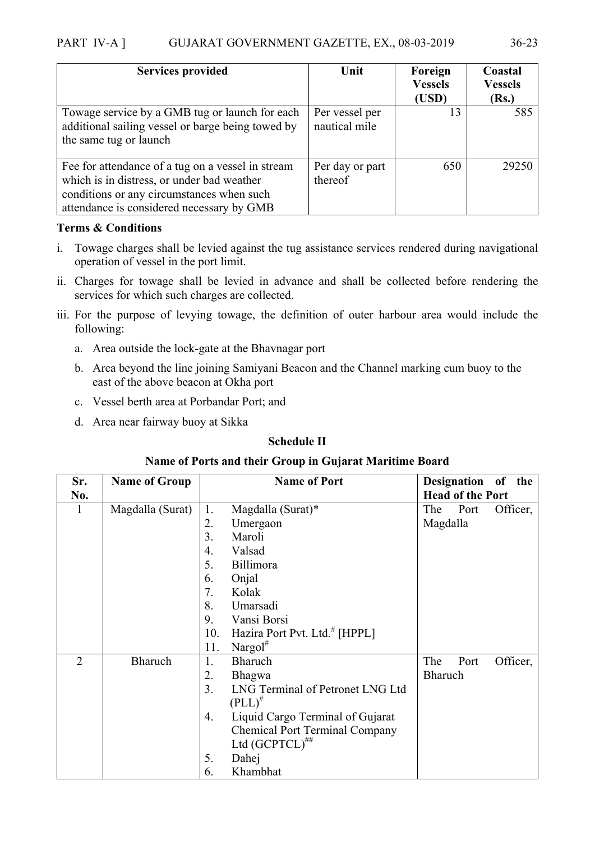| <b>Services provided</b>                                                                                                                                                                  | Unit                            | Foreign<br><b>Vessels</b><br>(USD) | Coastal<br><b>Vessels</b><br>(Rs.) |
|-------------------------------------------------------------------------------------------------------------------------------------------------------------------------------------------|---------------------------------|------------------------------------|------------------------------------|
| Towage service by a GMB tug or launch for each<br>additional sailing vessel or barge being towed by<br>the same tug or launch                                                             | Per vessel per<br>nautical mile | 13                                 | 585                                |
| Fee for attendance of a tug on a vessel in stream<br>which is in distress, or under bad weather<br>conditions or any circumstances when such<br>attendance is considered necessary by GMB | Per day or part<br>thereof      | 650                                | 29250                              |

#### **Terms & Conditions**

- i. Towage charges shall be levied against the tug assistance services rendered during navigational operation of vessel in the port limit.
- ii. Charges for towage shall be levied in advance and shall be collected before rendering the services for which such charges are collected.
- iii. For the purpose of levying towage, the definition of outer harbour area would include the following:
	- a. Area outside the lock-gate at the Bhavnagar port
	- b. Area beyond the line joining Samiyani Beacon and the Channel marking cum buoy to the east of the above beacon at Okha port
	- c. Vessel berth area at Porbandar Port; and
	- d. Area near fairway buoy at Sikka

#### **Schedule II**

#### **Name of Ports and their Group in Gujarat Maritime Board**

| Sr.            | <b>Name of Group</b> |                  | <b>Name of Port</b>                       |                | Designation of the      |          |
|----------------|----------------------|------------------|-------------------------------------------|----------------|-------------------------|----------|
| No.            |                      |                  |                                           |                | <b>Head of the Port</b> |          |
|                | Magdalla (Surat)     | 1.               | Magdalla (Surat)*                         | The            | Port                    | Officer, |
|                |                      | 2.               | Umergaon                                  | Magdalla       |                         |          |
|                |                      | $\overline{3}$ . | Maroli                                    |                |                         |          |
|                |                      | 4.               | Valsad                                    |                |                         |          |
|                |                      | 5.               | Billimora                                 |                |                         |          |
|                |                      | 6.               | Onjal                                     |                |                         |          |
|                |                      | 7.               | Kolak                                     |                |                         |          |
|                |                      | 8.               | Umarsadi                                  |                |                         |          |
|                |                      | 9.               | Vansi Borsi                               |                |                         |          |
|                |                      | 10.              | Hazira Port Pvt. Ltd. <sup>#</sup> [HPPL] |                |                         |          |
|                |                      | 11.              | Nargol $#$                                |                |                         |          |
| $\overline{2}$ | Bharuch              | 1.               | Bharuch                                   | The            | Port                    | Officer, |
|                |                      | 2.               | <b>Bhagwa</b>                             | <b>Bharuch</b> |                         |          |
|                |                      | 3 <sub>1</sub>   | LNG Terminal of Petronet LNG Ltd          |                |                         |          |
|                |                      |                  | $(PLL)^{\#}$                              |                |                         |          |
|                |                      | 4.               | Liquid Cargo Terminal of Gujarat          |                |                         |          |
|                |                      |                  | <b>Chemical Port Terminal Company</b>     |                |                         |          |
|                |                      |                  | Ltd $(GCPTCL)^{***}$                      |                |                         |          |
|                |                      | 5.               | Dahej                                     |                |                         |          |
|                |                      | 6.               | Khambhat                                  |                |                         |          |